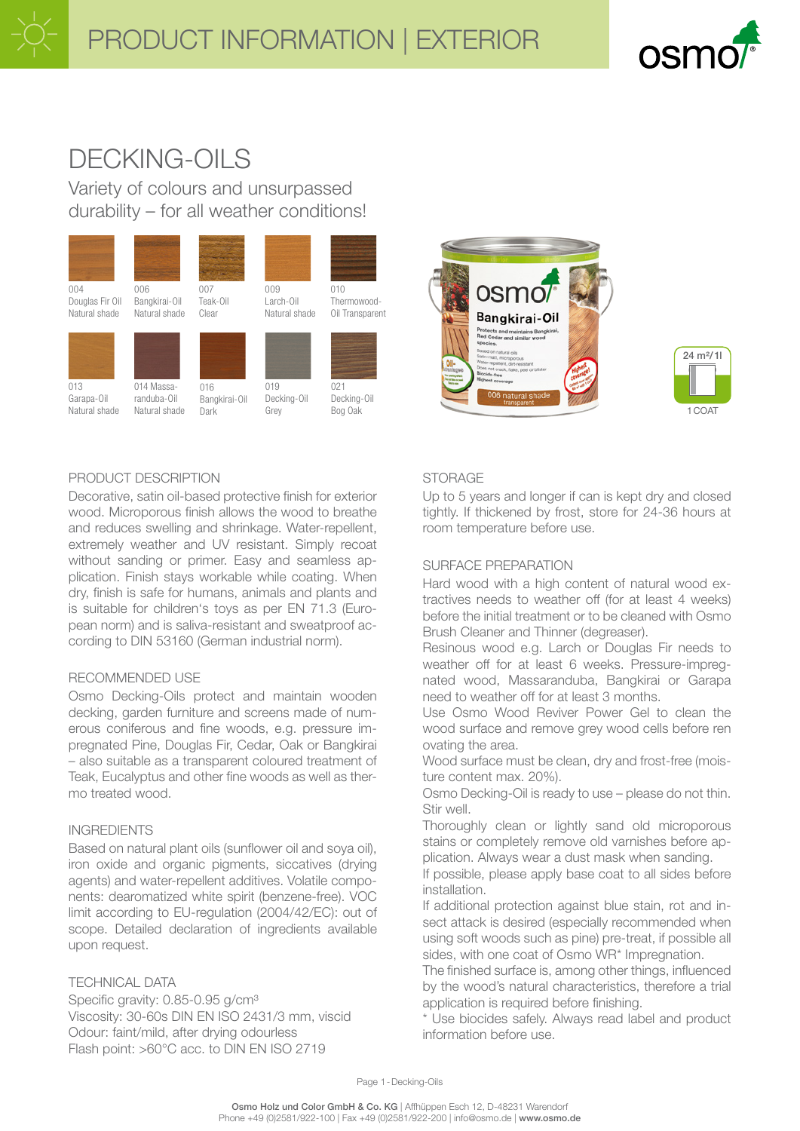

# DECKING-OILS

Variety of colours and unsurpassed durability – for all weather conditions!





# $1$  $0$  $0$  $0$  $1$ 24 m²/1l

# PRODUCT DESCRIPTION

Decorative, satin oil-based protective finish for exterior wood. Microporous finish allows the wood to breathe and reduces swelling and shrinkage. Water-repellent, extremely weather and UV resistant. Simply recoat without sanding or primer. Easy and seamless application. Finish stays workable while coating. When dry, finish is safe for humans, animals and plants and is suitable for children's toys as per EN 71.3 (European norm) and is saliva-resistant and sweatproof according to DIN 53160 (German industrial norm).

#### RECOMMENDED USE

Osmo Decking-Oils protect and maintain wooden decking, garden furniture and screens made of numerous coniferous and fine woods, e.g. pressure impregnated Pine, Douglas Fir, Cedar, Oak or Bangkirai – also suitable as a transparent coloured treatment of Teak, Eucalyptus and other fine woods as well as thermo treated wood.

# INGREDIENTS

Based on natural plant oils (sunflower oil and soya oil), iron oxide and organic pigments, siccatives (drying agents) and water-repellent additives. Volatile components: dearomatized white spirit (benzene-free). VOC limit according to EU-regulation (2004/42/EC): out of scope. Detailed declaration of ingredients available upon request.

### TECHNICAL DATA

Specific gravity: 0.85-0.95 g/cm<sup>3</sup> Viscosity: 30-60s DIN EN ISO 2431/3 mm, viscid Odour: faint/mild, after drying odourless Flash point: >60°C acc. to DIN EN ISO 2719

### **STORAGE**

Up to 5 years and longer if can is kept dry and closed tightly. If thickened by frost, store for 24-36 hours at room temperature before use.

### SURFACE PREPARATION

Hard wood with a high content of natural wood extractives needs to weather off (for at least 4 weeks) before the initial treatment or to be cleaned with Osmo Brush Cleaner and Thinner (degreaser).

Resinous wood e.g. Larch or Douglas Fir needs to weather off for at least 6 weeks. Pressure-impregnated wood, Massaranduba, Bangkirai or Garapa need to weather off for at least 3 months.

Use Osmo Wood Reviver Power Gel to clean the wood surface and remove grey wood cells before ren ovating the area.

Wood surface must be clean, dry and frost-free (moisture content max. 20%).

Osmo Decking-Oil is ready to use – please do not thin. Stir well.

Thoroughly clean or lightly sand old microporous stains or completely remove old varnishes before application. Always wear a dust mask when sanding.

If possible, please apply base coat to all sides before installation.

If additional protection against blue stain, rot and insect attack is desired (especially recommended when using soft woods such as pine) pre-treat, if possible all sides, with one coat of Osmo WR\* Impregnation.

The finished surface is, among other things, influenced by the wood's natural characteristics, therefore a trial application is required before finishing.

\* Use biocides safely. Always read label and product information before use.

Page 1-Decking-Oils